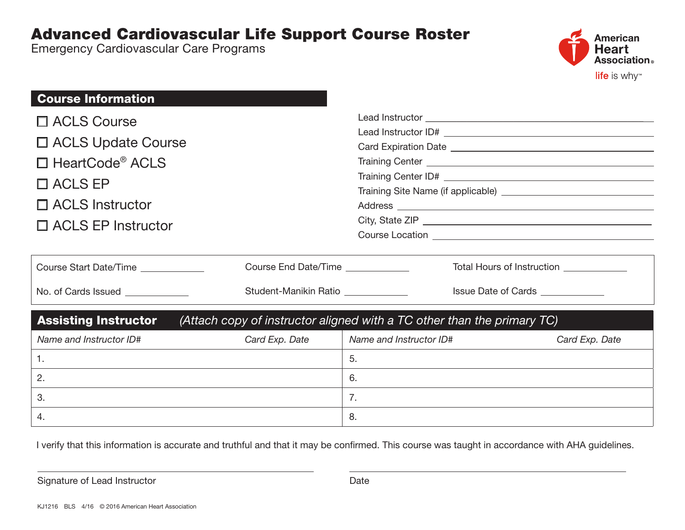## Advanced Cardiovascular Life Support Course Roster

Emergency Cardiovascular Care Programs



| <b>Course Information</b>                                                                              |                                    |                                     |                                  |                |  |  |
|--------------------------------------------------------------------------------------------------------|------------------------------------|-------------------------------------|----------------------------------|----------------|--|--|
| $\Box$ ACLS Course                                                                                     |                                    |                                     |                                  |                |  |  |
|                                                                                                        |                                    |                                     |                                  |                |  |  |
| □ ACLS Update Course                                                                                   |                                    |                                     |                                  |                |  |  |
| $\Box$ HeartCode® ACLS                                                                                 |                                    |                                     |                                  |                |  |  |
| $\Box$ ACLS EP                                                                                         |                                    |                                     |                                  |                |  |  |
|                                                                                                        |                                    |                                     |                                  |                |  |  |
| $\Box$ ACLS Instructor                                                                                 |                                    |                                     |                                  |                |  |  |
| $\Box$ ACLS EP Instructor                                                                              |                                    |                                     |                                  |                |  |  |
|                                                                                                        |                                    |                                     |                                  |                |  |  |
| Course Start Date/Time ____________                                                                    | Course End Date/Time               | Total Hours of Instruction Learning |                                  |                |  |  |
| No. of Cards Issued ____________                                                                       | Student-Manikin Ratio ____________ |                                     | Issue Date of Cards ____________ |                |  |  |
| <b>Assisting Instructor</b><br>(Attach copy of instructor aligned with a TC other than the primary TC) |                                    |                                     |                                  |                |  |  |
| Name and Instructor ID#                                                                                | Card Exp. Date                     | Name and Instructor ID#             |                                  | Card Exp. Date |  |  |
| 1.                                                                                                     |                                    | 5.                                  |                                  |                |  |  |
| 2.                                                                                                     |                                    | 6.                                  |                                  |                |  |  |
| 3.                                                                                                     |                                    | 7.                                  |                                  |                |  |  |
| 4.                                                                                                     |                                    | 8.                                  |                                  |                |  |  |

I verify that this information is accurate and truthful and that it may be confirmed. This course was taught in accordance with AHA guidelines.

Signature of Lead Instructor **Date** Date Date